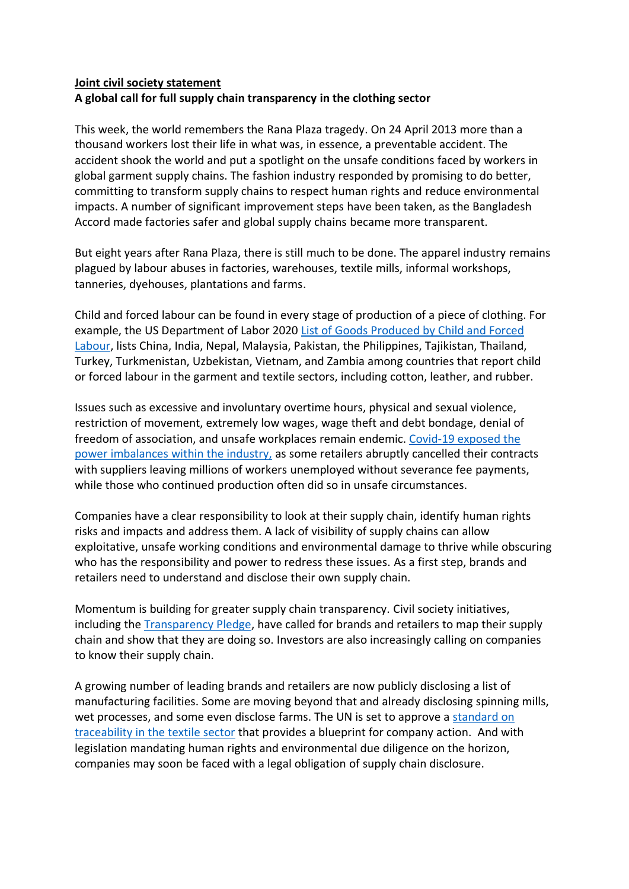## **Joint civil society statement A global call for full supply chain transparency in the clothing sector**

This week, the world remembers the Rana Plaza tragedy. On 24 April 2013 more than a thousand workers lost their life in what was, in essence, a preventable accident. The accident shook the world and put a spotlight on the unsafe conditions faced by workers in global garment supply chains. The fashion industry responded by promising to do better, committing to transform supply chains to respect human rights and reduce environmental impacts. A number of significant improvement steps have been taken, as the Bangladesh Accord made factories safer and global supply chains became more transparent.

But eight years after Rana Plaza, there is still much to be done. The apparel industry remains plagued by labour abuses in factories, warehouses, textile mills, informal workshops, tanneries, dyehouses, plantations and farms.

Child and forced labour can be found in every stage of production of a piece of clothing. For example, the US Department of Labor 2020 List [of Goods Produced by Child and Forced](https://www.dol.gov/sites/dolgov/files/ILAB/child_labor_reports/tda2019/2020_TVPRA_List_Online_Final.pdf)  [Labour,](https://www.dol.gov/sites/dolgov/files/ILAB/child_labor_reports/tda2019/2020_TVPRA_List_Online_Final.pdf) lists China, India, Nepal, Malaysia, Pakistan, the Philippines, Tajikistan, Thailand, Turkey, Turkmenistan, Uzbekistan, Vietnam, and Zambia among countries that report child or forced labour in the garment and textile sectors, including cotton, leather, and rubber.

Issues such as excessive and involuntary overtime hours, physical and sexual violence, restriction of movement, extremely low wages, wage theft and debt bondage, denial of freedom of association, and unsafe workplaces remain endemic. [Covid-19 exposed the](https://payupfashion.com/)  [power imbalances within the industry,](https://payupfashion.com/) as some retailers abruptly cancelled their contracts with suppliers leaving millions of workers unemployed without severance fee payments, while those who continued production often did so in unsafe circumstances.

Companies have a clear responsibility to look at their supply chain, identify human rights risks and impacts and address them. A lack of visibility of supply chains can allow exploitative, unsafe working conditions and environmental damage to thrive while obscuring who has the responsibility and power to redress these issues. As a first step, brands and retailers need to understand and disclose their own supply chain.

Momentum is building for greater supply chain transparency. Civil society initiatives, including the [Transparency Pledge,](https://transparencypledge.org/) have called for brands and retailers to map their supply chain and show that they are doing so. Investors are also increasingly calling on companies to know their supply chain.

A growing number of leading brands and retailers are now publicly disclosing a list of manufacturing facilities. Some are moving beyond that and already disclosing spinning mills, wet processes, and some even disclose farms. The UN is set to approve a [standard on](https://unece.org/sites/default/files/2021-CE_TRADE_C_CEFACT_2020_06_Rev1E_0.pdf)  [traceability in the textile sector](https://unece.org/sites/default/files/2021-CE_TRADE_C_CEFACT_2020_06_Rev1E_0.pdf) that provides a blueprint for company action. And with legislation mandating human rights and environmental due diligence on the horizon, companies may soon be faced with a legal obligation of supply chain disclosure.